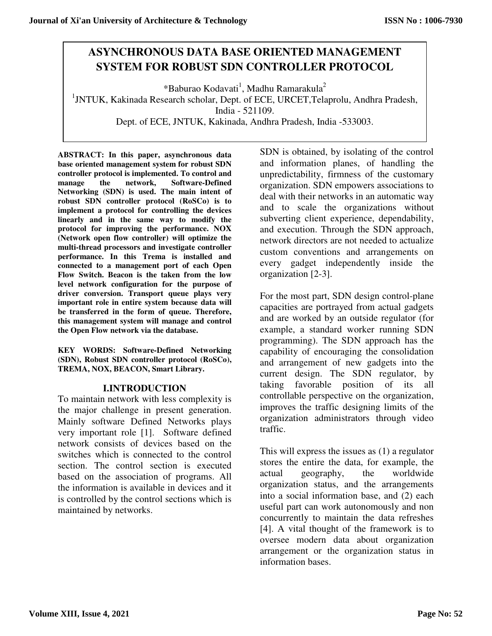# **ASYNCHRONOUS DATA BASE ORIENTED MANAGEMENT SYSTEM FOR ROBUST SDN CONTROLLER PROTOCOL**

\*Baburao Kodavati<sup>1</sup>, Madhu Ramarakula<sup>2</sup> <sup>1</sup>JNTUK, Kakinada Research scholar, Dept. of ECE, URCET, Telaprolu, Andhra Pradesh, India - 521109. Dept. of ECE, JNTUK, Kakinada, Andhra Pradesh, India -533003.

**ABSTRACT: In this paper, asynchronous data base oriented management system for robust SDN controller protocol is implemented. To control and manage the network, Software-Defined Networking (SDN) is used. The main intent of robust SDN controller protocol (RoSCo) is to implement a protocol for controlling the devices linearly and in the same way to modify the protocol for improving the performance. NOX (Network open flow controller) will optimize the multi-thread processors and investigate controller performance. In this Trema is installed and connected to a management port of each Open Flow Switch. Beacon is the taken from the low level network configuration for the purpose of driver conversion. Transport queue plays very important role in entire system because data will be transferred in the form of queue. Therefore, this management system will manage and control the Open Flow network via the database.** 

**KEY WORDS: Software-Defined Networking (SDN), Robust SDN controller protocol (RoSCo), TREMA, NOX, BEACON, Smart Library.** 

# **I.INTRODUCTION**

To maintain network with less complexity is the major challenge in present generation. Mainly software Defined Networks plays very important role [1]. Software defined network consists of devices based on the switches which is connected to the control section. The control section is executed based on the association of programs. All the information is available in devices and it is controlled by the control sections which is maintained by networks.

SDN is obtained, by isolating of the control and information planes, of handling the unpredictability, firmness of the customary organization. SDN empowers associations to deal with their networks in an automatic way and to scale the organizations without subverting client experience, dependability, and execution. Through the SDN approach, network directors are not needed to actualize custom conventions and arrangements on every gadget independently inside the organization [2-3].

For the most part, SDN design control-plane capacities are portrayed from actual gadgets and are worked by an outside regulator (for example, a standard worker running SDN programming). The SDN approach has the capability of encouraging the consolidation and arrangement of new gadgets into the current design. The SDN regulator, by taking favorable position of its all controllable perspective on the organization, improves the traffic designing limits of the organization administrators through video traffic.

This will express the issues as (1) a regulator stores the entire the data, for example, the actual geography, the worldwide organization status, and the arrangements into a social information base, and (2) each useful part can work autonomously and non concurrently to maintain the data refreshes [4]. A vital thought of the framework is to oversee modern data about organization arrangement or the organization status in information bases.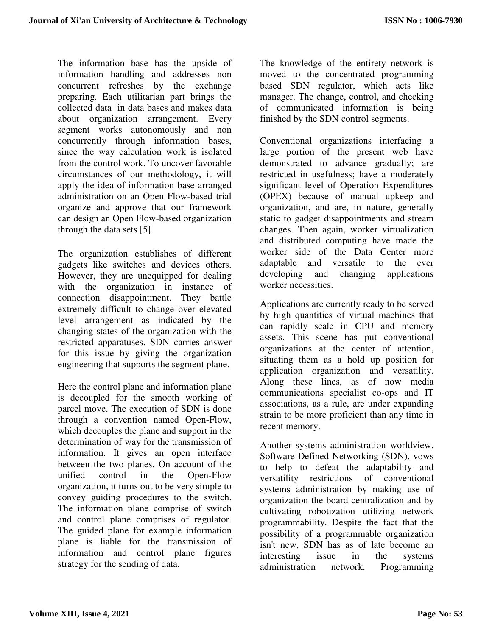The information base has the upside of information handling and addresses non concurrent refreshes by the exchange preparing. Each utilitarian part brings the collected data in data bases and makes data about organization arrangement. Every segment works autonomously and non concurrently through information bases, since the way calculation work is isolated from the control work. To uncover favorable circumstances of our methodology, it will apply the idea of information base arranged administration on an Open Flow-based trial organize and approve that our framework can design an Open Flow-based organization through the data sets [5].

The organization establishes of different gadgets like switches and devices others. However, they are unequipped for dealing with the organization in instance of connection disappointment. They battle extremely difficult to change over elevated level arrangement as indicated by the changing states of the organization with the restricted apparatuses. SDN carries answer for this issue by giving the organization engineering that supports the segment plane.

Here the control plane and information plane is decoupled for the smooth working of parcel move. The execution of SDN is done through a convention named Open-Flow, which decouples the plane and support in the determination of way for the transmission of information. It gives an open interface between the two planes. On account of the unified control in the Open-Flow organization, it turns out to be very simple to convey guiding procedures to the switch. The information plane comprise of switch and control plane comprises of regulator. The guided plane for example information plane is liable for the transmission of information and control plane figures strategy for the sending of data.

The knowledge of the entirety network is moved to the concentrated programming based SDN regulator, which acts like manager. The change, control, and checking of communicated information is being finished by the SDN control segments.

Conventional organizations interfacing a large portion of the present web have demonstrated to advance gradually; are restricted in usefulness; have a moderately significant level of Operation Expenditures (OPEX) because of manual upkeep and organization, and are, in nature, generally static to gadget disappointments and stream changes. Then again, worker virtualization and distributed computing have made the worker side of the Data Center more adaptable and versatile to the ever developing and changing applications worker necessities.

Applications are currently ready to be served by high quantities of virtual machines that can rapidly scale in CPU and memory assets. This scene has put conventional organizations at the center of attention, situating them as a hold up position for application organization and versatility. Along these lines, as of now media communications specialist co-ops and IT associations, as a rule, are under expanding strain to be more proficient than any time in recent memory.

Another systems administration worldview, Software-Defined Networking (SDN), vows to help to defeat the adaptability and versatility restrictions of conventional systems administration by making use of organization the board centralization and by cultivating robotization utilizing network programmability. Despite the fact that the possibility of a programmable organization isn't new, SDN has as of late become an interesting issue in the systems administration network. Programming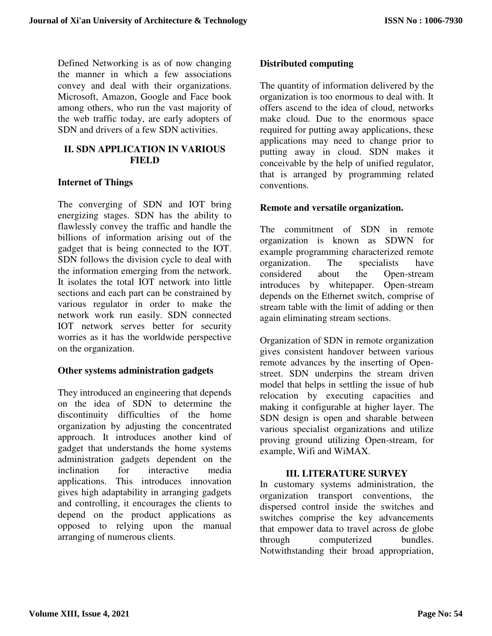Defined Networking is as of now changing the manner in which a few associations convey and deal with their organizations. Microsoft, Amazon, Google and Face book among others, who run the vast majority of the web traffic today, are early adopters of SDN and drivers of a few SDN activities.

# **II. SDN APPLICATION IN VARIOUS FIELD**

# **Internet of Things**

The converging of SDN and IOT bring energizing stages. SDN has the ability to flawlessly convey the traffic and handle the billions of information arising out of the gadget that is being connected to the IOT. SDN follows the division cycle to deal with the information emerging from the network. It isolates the total IOT network into little sections and each part can be constrained by various regulator in order to make the network work run easily. SDN connected IOT network serves better for security worries as it has the worldwide perspective on the organization.

# **Other systems administration gadgets**

They introduced an engineering that depends on the idea of SDN to determine the discontinuity difficulties of the home organization by adjusting the concentrated approach. It introduces another kind of gadget that understands the home systems administration gadgets dependent on the inclination for interactive media applications. This introduces innovation gives high adaptability in arranging gadgets and controlling, it encourages the clients to depend on the product applications as opposed to relying upon the manual arranging of numerous clients.

# **Distributed computing**

The quantity of information delivered by the organization is too enormous to deal with. It offers ascend to the idea of cloud, networks make cloud. Due to the enormous space required for putting away applications, these applications may need to change prior to putting away in cloud. SDN makes it conceivable by the help of unified regulator, that is arranged by programming related conventions.

# **Remote and versatile organization.**

The commitment of SDN in remote organization is known as SDWN for example programming characterized remote organization. The specialists have considered about the Open-stream introduces by whitepaper. Open-stream depends on the Ethernet switch, comprise of stream table with the limit of adding or then again eliminating stream sections.

Organization of SDN in remote organization gives consistent handover between various remote advances by the inserting of Openstreet. SDN underpins the stream driven model that helps in settling the issue of hub relocation by executing capacities and making it configurable at higher layer. The SDN design is open and sharable between various specialist organizations and utilize proving ground utilizing Open-stream, for example, Wifi and WiMAX.

### **III. LITERATURE SURVEY**

In customary systems administration, the organization transport conventions, the dispersed control inside the switches and switches comprise the key advancements that empower data to travel across de globe through computerized bundles. Notwithstanding their broad appropriation,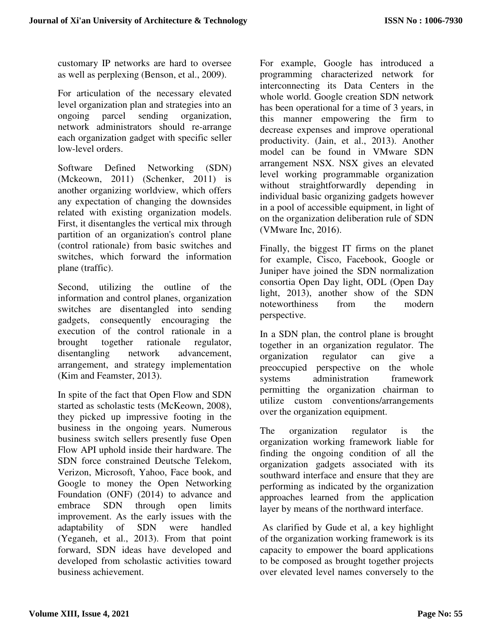customary IP networks are hard to oversee as well as perplexing (Benson, et al., 2009).

For articulation of the necessary elevated level organization plan and strategies into an ongoing parcel sending organization, network administrators should re-arrange each organization gadget with specific seller low-level orders.

Software Defined Networking (SDN) (Mckeown, 2011) (Schenker, 2011) is another organizing worldview, which offers any expectation of changing the downsides related with existing organization models. First, it disentangles the vertical mix through partition of an organization's control plane (control rationale) from basic switches and switches, which forward the information plane (traffic).

Second, utilizing the outline of the information and control planes, organization switches are disentangled into sending gadgets, consequently encouraging the execution of the control rationale in a brought together rationale regulator, disentangling network advancement, arrangement, and strategy implementation (Kim and Feamster, 2013).

In spite of the fact that Open Flow and SDN started as scholastic tests (McKeown, 2008), they picked up impressive footing in the business in the ongoing years. Numerous business switch sellers presently fuse Open Flow API uphold inside their hardware. The SDN force constrained Deutsche Telekom, Verizon, Microsoft, Yahoo, Face book, and Google to money the Open Networking Foundation (ONF) (2014) to advance and embrace SDN through open limits improvement. As the early issues with the adaptability of SDN were handled (Yeganeh, et al., 2013). From that point forward, SDN ideas have developed and developed from scholastic activities toward business achievement.

For example, Google has introduced a programming characterized network for interconnecting its Data Centers in the whole world. Google creation SDN network has been operational for a time of 3 years, in this manner empowering the firm to decrease expenses and improve operational productivity. (Jain, et al., 2013). Another model can be found in VMware SDN arrangement NSX. NSX gives an elevated level working programmable organization without straightforwardly depending in individual basic organizing gadgets however in a pool of accessible equipment, in light of on the organization deliberation rule of SDN (VMware Inc, 2016).

Finally, the biggest IT firms on the planet for example, Cisco, Facebook, Google or Juniper have joined the SDN normalization consortia Open Day light, ODL (Open Day light, 2013), another show of the SDN noteworthiness from the modern perspective.

In a SDN plan, the control plane is brought together in an organization regulator. The organization regulator can give a organization regulator can give a preoccupied perspective on the whole systems administration framework permitting the organization chairman to utilize custom conventions/arrangements over the organization equipment.

The organization regulator is the organization working framework liable for finding the ongoing condition of all the organization gadgets associated with its southward interface and ensure that they are performing as indicated by the organization approaches learned from the application layer by means of the northward interface.

 As clarified by Gude et al, a key highlight of the organization working framework is its capacity to empower the board applications to be composed as brought together projects over elevated level names conversely to the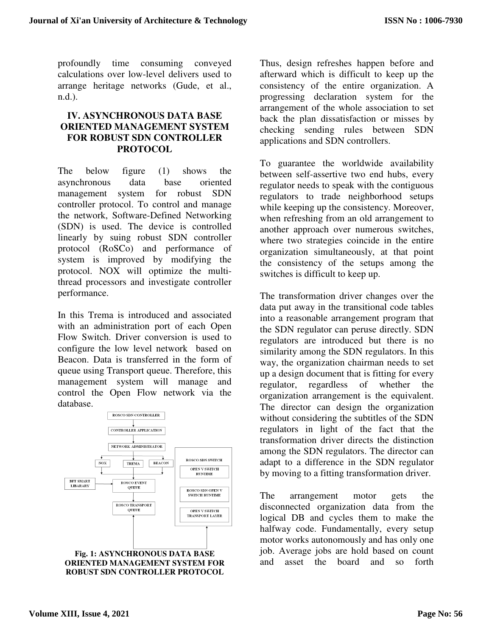profoundly time consuming conveyed calculations over low-level delivers used to arrange heritage networks (Gude, et al., n.d.).

# **IV. ASYNCHRONOUS DATA BASE ORIENTED MANAGEMENT SYSTEM FOR ROBUST SDN CONTROLLER PROTOCOL**

The below figure (1) shows the asynchronous data base oriented management system for robust SDN controller protocol. To control and manage the network, Software-Defined Networking (SDN) is used. The device is controlled linearly by suing robust SDN controller protocol (RoSCo) and performance of system is improved by modifying the protocol. NOX will optimize the multithread processors and investigate controller performance.

In this Trema is introduced and associated with an administration port of each Open Flow Switch. Driver conversion is used to configure the low level network based on Beacon. Data is transferred in the form of queue using Transport queue. Therefore, this management system will manage and control the Open Flow network via the database.





Thus, design refreshes happen before and afterward which is difficult to keep up the consistency of the entire organization. A progressing declaration system for the arrangement of the whole association to set back the plan dissatisfaction or misses by checking sending rules between SDN applications and SDN controllers.

To guarantee the worldwide availability between self-assertive two end hubs, every regulator needs to speak with the contiguous regulators to trade neighborhood setups while keeping up the consistency. Moreover, when refreshing from an old arrangement to another approach over numerous switches, where two strategies coincide in the entire organization simultaneously, at that point the consistency of the setups among the switches is difficult to keep up.

The transformation driver changes over the data put away in the transitional code tables into a reasonable arrangement program that the SDN regulator can peruse directly. SDN regulators are introduced but there is no similarity among the SDN regulators. In this way, the organization chairman needs to set up a design document that is fitting for every regulator, regardless of whether the organization arrangement is the equivalent. The director can design the organization without considering the subtitles of the SDN regulators in light of the fact that the transformation driver directs the distinction among the SDN regulators. The director can adapt to a difference in the SDN regulator by moving to a fitting transformation driver.

The arrangement motor gets the disconnected organization data from the logical DB and cycles them to make the halfway code. Fundamentally, every setup motor works autonomously and has only one job. Average jobs are hold based on count and asset the board and so forth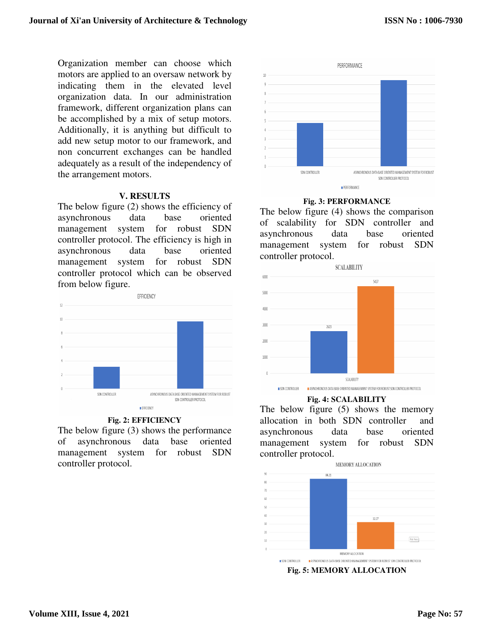Organization member can choose which motors are applied to an oversaw network by indicating them in the elevated level organization data. In our administration framework, different organization plans can be accomplished by a mix of setup motors. Additionally, it is anything but difficult to add new setup motor to our framework, and non concurrent exchanges can be handled adequately as a result of the independency of the arrangement motors.

### **V. RESULTS**

The below figure (2) shows the efficiency of asynchronous data base oriented management system for robust SDN controller protocol. The efficiency is high in asynchronous data base oriented management system for robust SDN controller protocol which can be observed from below figure.



### **Fig. 2: EFFICIENCY**

The below figure (3) shows the performance of asynchronous data base oriented management system for robust SDN controller protocol.



### **Fig. 3: PERFORMANCE**

The below figure (4) shows the comparison of scalability for SDN controller and asynchronous data base oriented management system for robust SDN controller protocol.



### **Fig. 4: SCALABILITY**

The below figure (5) shows the memory allocation in both SDN controller and asynchronous data base oriented management system for robust SDN controller protocol.



**Fig. 5: MEMORY ALLOCATION**